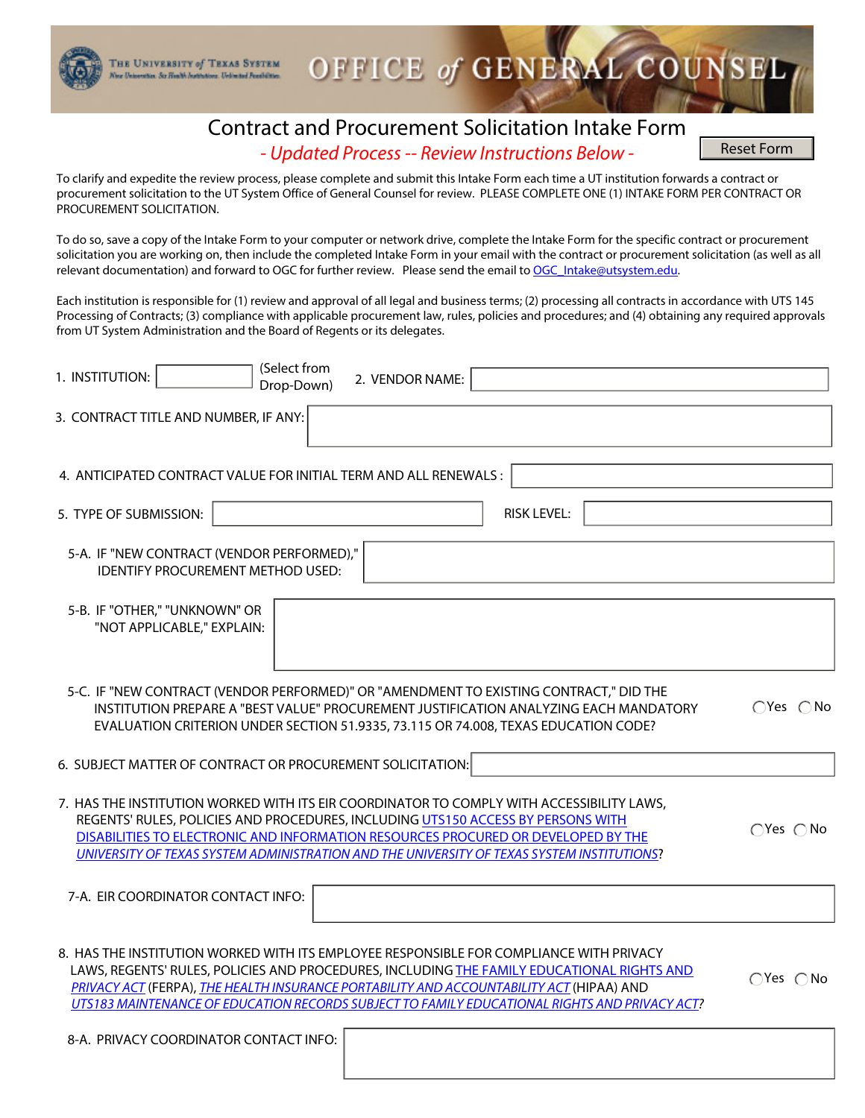## Contract and Procurement Solicitation Intake Form *- Updated Process -- Review Instructions Below -*

OFFICE of GENERAL COUNSEL

Reset Form

To clarify and expedite the review process, please complete and submit this Intake Form each time a UT institution forwards a contract or procurement solicitation to the UT System Office of General Counsel for review. PLEASE COMPLETE ONE (1) INTAKE FORM PER CONTRACT OR PROCUREMENT SOLICITATION.

THE UNIVERSITY of TEXAS SYSTEM stor, So Health Institutions, Unlimited Forebilities.

To do so, save a copy of the Intake Form to your computer or network drive, complete the Intake Form for the specific contract or procurement solicitation you are working on, then include the completed Intake Form in your email with the contract or procurement solicitation (as well as all relevant documentation) and forward to OGC for further review. Please send the email to [OGC\\_Intake@utsystem.edu.](mailto:OGC_Intake@utsystem.edu)

Each institution is responsible for (1) review and approval of all legal and business terms; (2) processing all contracts in accordance with UTS 145 Processing of Contracts; (3) compliance with applicable procurement law, rules, policies and procedures; and (4) obtaining any required approvals from UT System Administration and the Board of Regents or its delegates.

| (Select from<br>1. INSTITUTION:<br>2. VENDOR NAME:<br>Drop-Down)                                                                                                                                                                                                                                                                                                                   |                            |
|------------------------------------------------------------------------------------------------------------------------------------------------------------------------------------------------------------------------------------------------------------------------------------------------------------------------------------------------------------------------------------|----------------------------|
| 3. CONTRACT TITLE AND NUMBER, IF ANY:                                                                                                                                                                                                                                                                                                                                              |                            |
| 4. ANTICIPATED CONTRACT VALUE FOR INITIAL TERM AND ALL RENEWALS:                                                                                                                                                                                                                                                                                                                   |                            |
| <b>RISK LEVEL:</b><br>5. TYPE OF SUBMISSION:<br>$\mathbf{v}$                                                                                                                                                                                                                                                                                                                       | $\blacktriangledown$       |
| 5-A. IF "NEW CONTRACT (VENDOR PERFORMED),"<br>IDENTIFY PROCUREMENT METHOD USED:                                                                                                                                                                                                                                                                                                    |                            |
| 5-B. IF "OTHER," "UNKNOWN" OR<br>"NOT APPLICABLE," EXPLAIN:                                                                                                                                                                                                                                                                                                                        |                            |
| 5-C. IF "NEW CONTRACT (VENDOR PERFORMED)" OR "AMENDMENT TO EXISTING CONTRACT," DID THE<br>INSTITUTION PREPARE A "BEST VALUE" PROCUREMENT JUSTIFICATION ANALYZING EACH MANDATORY<br>EVALUATION CRITERION UNDER SECTION 51.9335, 73.115 OR 74.008, TEXAS EDUCATION CODE?                                                                                                             | $\bigcap$ Yes $\bigcap$ No |
| 6. SUBJECT MATTER OF CONTRACT OR PROCUREMENT SOLICITATION:                                                                                                                                                                                                                                                                                                                         | $\vert \mathbf{v} \vert$   |
| 7. HAS THE INSTITUTION WORKED WITH ITS EIR COORDINATOR TO COMPLY WITH ACCESSIBILITY LAWS,<br>REGENTS' RULES, POLICIES AND PROCEDURES, INCLUDING UTS150 ACCESS BY PERSONS WITH<br>DISABILITIES TO ELECTRONIC AND INFORMATION RESOURCES PROCURED OR DEVELOPED BY THE<br>UNIVERSITY OF TEXAS SYSTEM ADMINISTRATION AND THE UNIVERSITY OF TEXAS SYSTEM INSTITUTIONS?                   | $\bigcap$ Yes $\bigcap$ No |
| 7-A. EIR COORDINATOR CONTACT INFO:                                                                                                                                                                                                                                                                                                                                                 |                            |
| 8. HAS THE INSTITUTION WORKED WITH ITS EMPLOYEE RESPONSIBLE FOR COMPLIANCE WITH PRIVACY<br>LAWS, REGENTS' RULES, POLICIES AND PROCEDURES, INCLUDING THE FAMILY EDUCATIONAL RIGHTS AND<br>PRIVACY ACT (FERPA), THE HEALTH INSURANCE PORTABILITY AND ACCOUNTABILITY ACT (HIPAA) AND<br>UTS183 MAINTENANCE OF EDUCATION RECORDS SUBJECT TO FAMILY EDUCATIONAL RIGHTS AND PRIVACY ACT? | $\bigcap$ Yes $\bigcap$ No |
| 8-A. PRIVACY COORDINATOR CONTACT INFO:                                                                                                                                                                                                                                                                                                                                             |                            |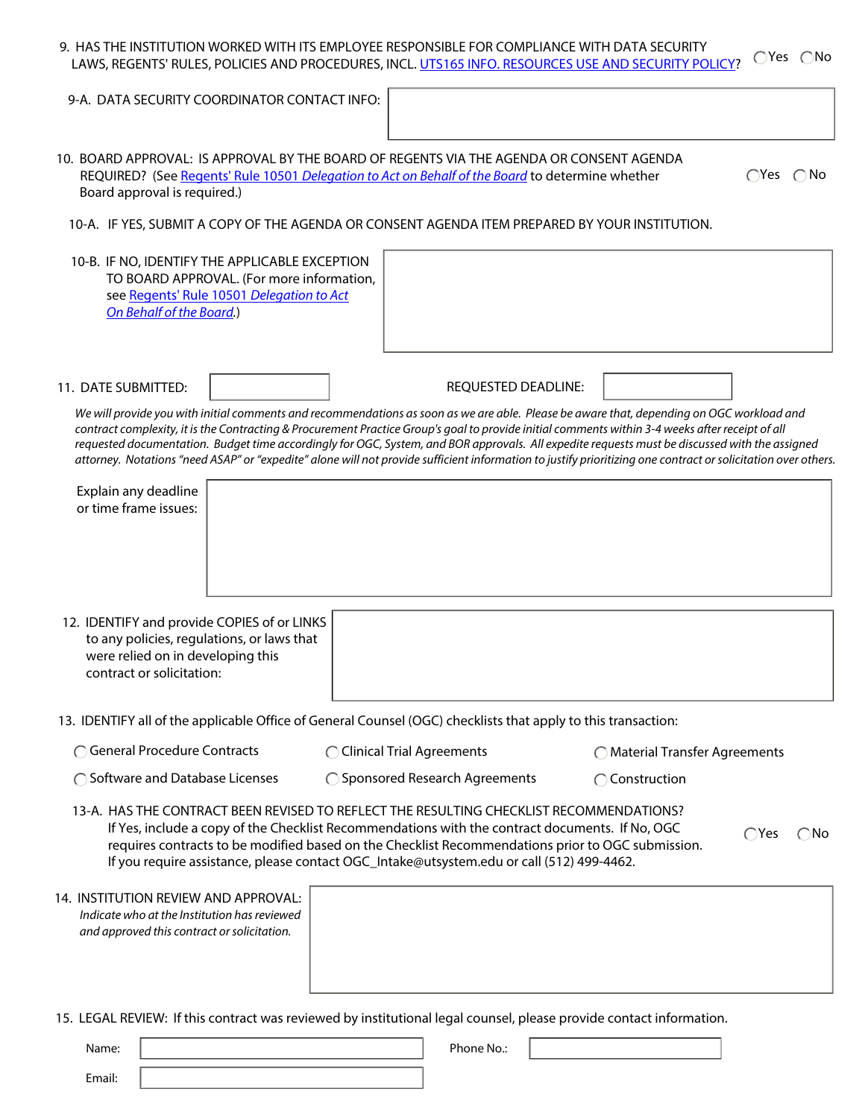|                                                                                                                                                                      | 9. HAS THE INSTITUTION WORKED WITH ITS EMPLOYEE RESPONSIBLE FOR COMPLIANCE WITH DATA SECURITY<br>LAWS, REGENTS' RULES, POLICIES AND PROCEDURES, INCL. UTS165 INFO. RESOURCES USE AND SECURITY POLICY?                                                                                                                                                                                                                                           | $\bigcap$ Yes $\bigcap$ No                                                                                                                                    |
|----------------------------------------------------------------------------------------------------------------------------------------------------------------------|-------------------------------------------------------------------------------------------------------------------------------------------------------------------------------------------------------------------------------------------------------------------------------------------------------------------------------------------------------------------------------------------------------------------------------------------------|---------------------------------------------------------------------------------------------------------------------------------------------------------------|
| 9-A. DATA SECURITY COORDINATOR CONTACT INFO:                                                                                                                         |                                                                                                                                                                                                                                                                                                                                                                                                                                                 |                                                                                                                                                               |
| Board approval is required.)                                                                                                                                         | 10. BOARD APPROVAL: IS APPROVAL BY THE BOARD OF REGENTS VIA THE AGENDA OR CONSENT AGENDA<br>REQUIRED? (See Regents' Rule 10501 Delegation to Act on Behalf of the Board to determine whether                                                                                                                                                                                                                                                    | $\bigcirc$ Yes $\bigcirc$ No                                                                                                                                  |
|                                                                                                                                                                      | 10-A. IF YES, SUBMIT A COPY OF THE AGENDA OR CONSENT AGENDA ITEM PREPARED BY YOUR INSTITUTION.                                                                                                                                                                                                                                                                                                                                                  |                                                                                                                                                               |
| 10-B. IF NO, IDENTIFY THE APPLICABLE EXCEPTION<br>TO BOARD APPROVAL. (For more information,<br>see Regents' Rule 10501 Delegation to Act<br>On Behalf of the Board.) |                                                                                                                                                                                                                                                                                                                                                                                                                                                 |                                                                                                                                                               |
| 11. DATE SUBMITTED:                                                                                                                                                  | REQUESTED DEADLINE:                                                                                                                                                                                                                                                                                                                                                                                                                             |                                                                                                                                                               |
|                                                                                                                                                                      | We will provide you with initial comments and recommendations as soon as we are able. Please be aware that, depending on OGC workload and<br>contract complexity, it is the Contracting & Procurement Practice Group's goal to provide initial comments within 3-4 weeks after receipt of all<br>requested documentation. Budget time accordingly for OGC, System, and BOR approvals. All expedite requests must be discussed with the assigned | attorney. Notations "need ASAP" or "expedite" alone will not provide sufficient information to justify prioritizing one contract or solicitation over others. |
| Explain any deadline<br>or time frame issues:                                                                                                                        |                                                                                                                                                                                                                                                                                                                                                                                                                                                 |                                                                                                                                                               |
| 12. IDENTIFY and provide COPIES of or LINKS<br>to any policies, regulations, or laws that<br>were relied on in developing this<br>contract or solicitation:          |                                                                                                                                                                                                                                                                                                                                                                                                                                                 |                                                                                                                                                               |
|                                                                                                                                                                      | 13. IDENTIFY all of the applicable Office of General Counsel (OGC) checklists that apply to this transaction:                                                                                                                                                                                                                                                                                                                                   |                                                                                                                                                               |
| <b>General Procedure Contracts</b>                                                                                                                                   | ◯ Clinical Trial Agreements                                                                                                                                                                                                                                                                                                                                                                                                                     | ◯ Material Transfer Agreements                                                                                                                                |
| ◯ Software and Database Licenses                                                                                                                                     | ◯ Sponsored Research Agreements                                                                                                                                                                                                                                                                                                                                                                                                                 | ◯ Construction                                                                                                                                                |
|                                                                                                                                                                      | 13-A. HAS THE CONTRACT BEEN REVISED TO REFLECT THE RESULTING CHECKLIST RECOMMENDATIONS?<br>If Yes, include a copy of the Checklist Recommendations with the contract documents. If No, OGC<br>requires contracts to be modified based on the Checklist Recommendations prior to OGC submission.<br>If you require assistance, please contact OGC_Intake@utsystem.edu or call (512) 499-4462.                                                    | $\bigcirc$ Yes<br>∩No                                                                                                                                         |
| 14. INSTITUTION REVIEW AND APPROVAL:<br>Indicate who at the Institution has reviewed<br>and approved this contract or solicitation.                                  |                                                                                                                                                                                                                                                                                                                                                                                                                                                 |                                                                                                                                                               |
|                                                                                                                                                                      | 15. LEGAL REVIEW: If this contract was reviewed by institutional legal counsel, please provide contact information.                                                                                                                                                                                                                                                                                                                             |                                                                                                                                                               |

| Name:  | Phone No.: |  |
|--------|------------|--|
| Email: |            |  |